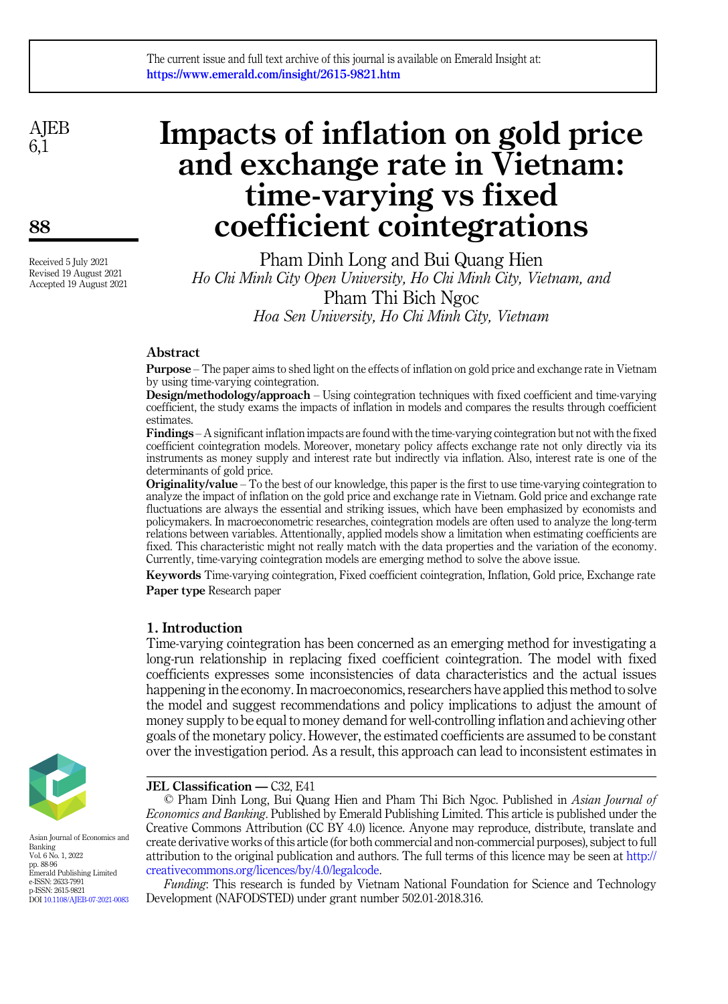AJEB  $6\overline{1}$ 

88

Received 5 July 2021 Revised 19 August 2021 Accepted 19 August 2021

# Impacts of inflation on gold price and exchange rate in Vietnam: time-varying vs fixed coefficient cointegrations

Pham Dinh Long and Bui Quang Hien Ho Chi Minh City Open University, Ho Chi Minh City, Vietnam, and Pham Thi Bich Ngoc Hoa Sen University, Ho Chi Minh City, Vietnam

### Abstract

Purpose – The paper aims to shed light on the effects of inflation on gold price and exchange rate in Vietnam by using time-varying cointegration.

Design/methodology/approach – Using cointegration techniques with fixed coefficient and time-varying coefficient, the study exams the impacts of inflation in models and compares the results through coefficient estimates.

Findings – A significant inflation impacts are found with the time-varying cointegration but not with the fixed coefficient cointegration models. Moreover, monetary policy affects exchange rate not only directly via its instruments as money supply and interest rate but indirectly via inflation. Also, interest rate is one of the determinants of gold price.

Originality/value – To the best of our knowledge, this paper is the first to use time-varying cointegration to analyze the impact of inflation on the gold price and exchange rate in Vietnam. Gold price and exchange rate fluctuations are always the essential and striking issues, which have been emphasized by economists and policymakers. In macroeconometric researches, cointegration models are often used to analyze the long-term relations between variables. Attentionally, applied models show a limitation when estimating coefficients are fixed. This characteristic might not really match with the data properties and the variation of the economy. Currently, time-varying cointegration models are emerging method to solve the above issue.

Keywords Time-varying cointegration, Fixed coefficient cointegration, Inflation, Gold price, Exchange rate Paper type Research paper

## <span id="page-0-0"></span>1. Introduction

Time-varying cointegration has been concerned as an emerging method for investigating a long-run relationship in replacing fixed coefficient cointegration. The model with fixed coefficients expresses some inconsistencies of data characteristics and the actual issues happening in the economy. In macroeconomics, researchers have applied this method to solve the model and suggest recommendations and policy implications to adjust the amount of money supply to be equal to money demand for well-controlling inflation and achieving other goals of the monetary policy. However, the estimated coefficients are assumed to be constant over the investigation period. As a result, this approach can lead to inconsistent estimates in



Asian Journal of Economics and Banking Vol. 6 No. 1, 2022 pp. 88-96 Emerald Publishing Limited e-ISSN: 2633-7991 p-ISSN: 2615-9821 DOI [10.1108/AJEB-07-2021-0083](https://doi.org/10.1108/AJEB-07-2021-0083)

#### JEL Classification — C32, E41

© Pham Dinh Long, Bui Quang Hien and Pham Thi Bich Ngoc. Published in Asian Journal of Economics and Banking. Published by Emerald Publishing Limited. This article is published under the Creative Commons Attribution (CC BY 4.0) licence. Anyone may reproduce, distribute, translate and create derivative works of this article (for both commercial and non-commercial purposes), subject to full attribution to the original publication and authors. The full terms of this licence may be seen at [http://](http://creativecommons.org/licences/by/4.0/legalcode) [creativecommons.org/licences/by/4.0/legalcode](http://creativecommons.org/licences/by/4.0/legalcode).

Funding: This research is funded by Vietnam National Foundation for Science and Technology Development (NAFODSTED) under grant number 502.01-2018.316.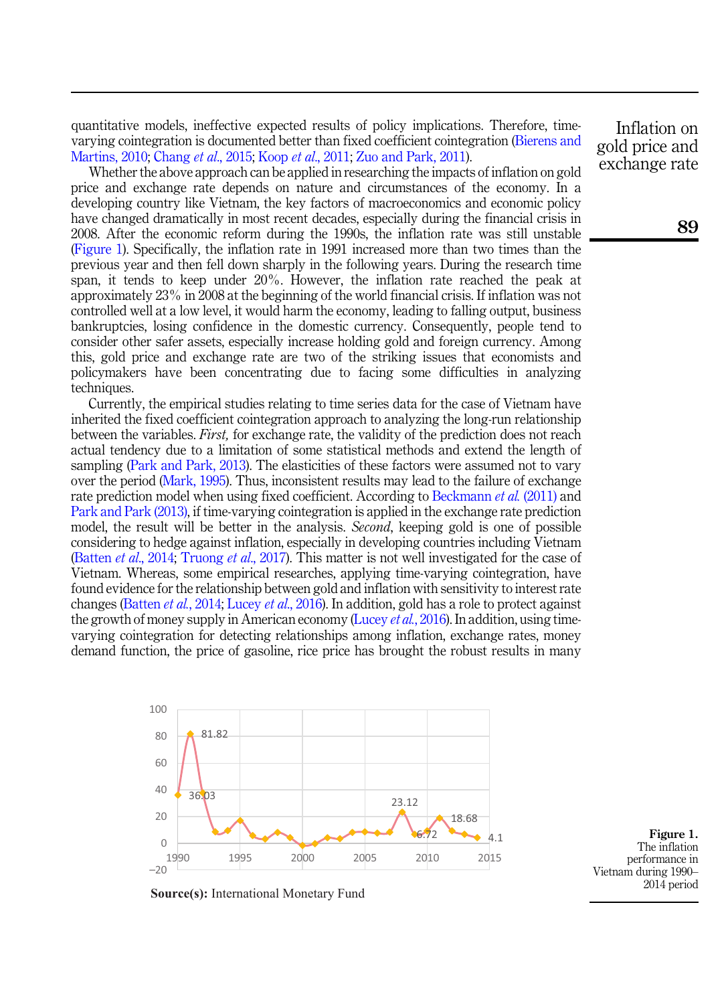quantitative models, ineffective expected results of policy implications. Therefore, timevarying cointegration is documented better than fixed coefficient cointegration [\(Bierens and](#page-7-0) [Martins, 2010](#page-7-0); [Chang](#page-7-1) et al., 2015; Koop et al[., 2011](#page-8-0); [Zuo and Park, 2011\)](#page-8-1).

Whether the above approach can be applied in researching the impacts of inflation on gold price and exchange rate depends on nature and circumstances of the economy. In a developing country like Vietnam, the key factors of macroeconomics and economic policy have changed dramatically in most recent decades, especially during the financial crisis in 2008. After the economic reform during the 1990s, the inflation rate was still unstable (Figure 1). Specifically, the inflation rate in 1991 increased more than two times than the previous year and then fell down sharply in the following years. During the research time span, it tends to keep under 20%. However, the inflation rate reached the peak at approximately 23% in 2008 at the beginning of the world financial crisis. If inflation was not controlled well at a low level, it would harm the economy, leading to falling output, business bankruptcies, losing confidence in the domestic currency. Consequently, people tend to consider other safer assets, especially increase holding gold and foreign currency. Among this, gold price and exchange rate are two of the striking issues that economists and policymakers have been concentrating due to facing some difficulties in analyzing techniques.

Currently, the empirical studies relating to time series data for the case of Vietnam have inherited the fixed coefficient cointegration approach to analyzing the long-run relationship between the variables. *First*, for exchange rate, the validity of the prediction does not reach actual tendency due to a limitation of some statistical methods and extend the length of sampling [\(Park and Park, 2013\)](#page-8-2). The elasticities of these factors were assumed not to vary over the period [\(Mark, 1995](#page-8-3)). Thus, inconsistent results may lead to the failure of exchange rate prediction model when using fixed coefficient. According to [Beckmann](#page-7-2) *et al.* (2011) and [Park and Park \(2013\),](#page-8-2) if time-varying cointegration is applied in the exchange rate prediction model, the result will be better in the analysis. Second, keeping gold is one of possible considering to hedge against inflation, especially in developing countries including Vietnam ([Batten](#page-7-3) *et al.*, 2014; [Truong](#page-8-4) *et al.*, 2017). This matter is not well investigated for the case of Vietnam. Whereas, some empirical researches, applying time-varying cointegration, have found evidence for the relationship between gold and inflation with sensitivity to interest rate changes ([Batten](#page-7-3) *et al.*, 2014; Lucey *et al.*, 2016). In addition, gold has a role to protect against the growth of money supply in American economy ([Lucey](#page-8-5) *et al.*, 2016). In addition, using timevarying cointegration for detecting relationships among inflation, exchange rates, money demand function, the price of gasoline, rice price has brought the robust results in many





**Source(s):** International Monetary Fund

Inflation on gold price and exchange rate

89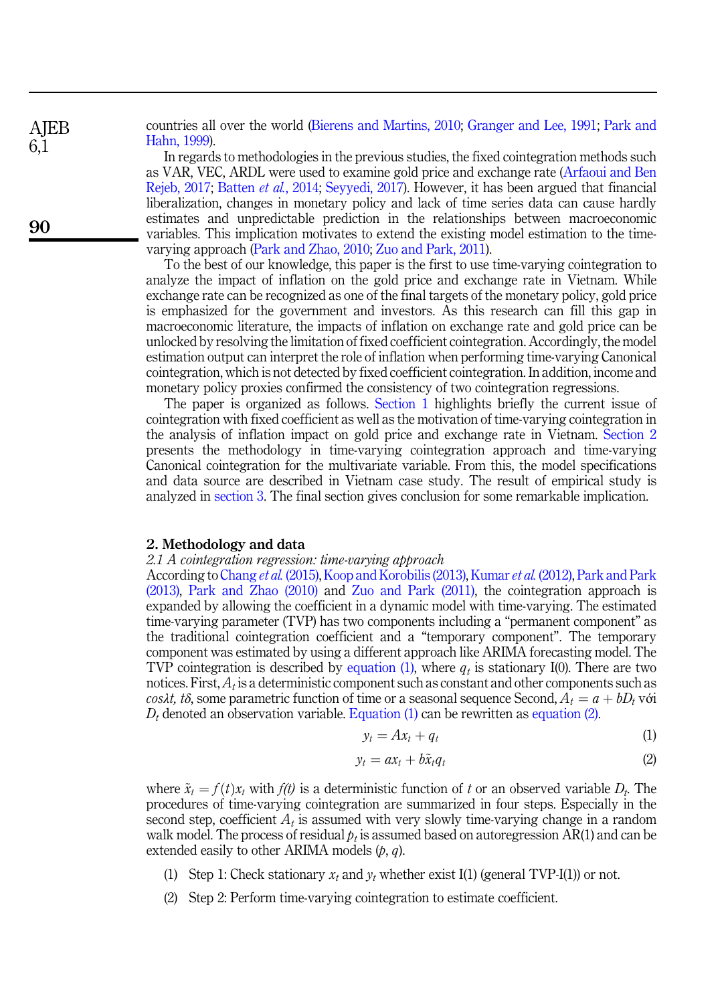countries all over the world [\(Bierens and Martins, 2010](#page-7-0); [Granger and Lee, 1991;](#page-8-6) [Park and](#page-8-7) [Hahn, 1999\)](#page-8-7).

In regards to methodologies in the previous studies, the fixed cointegration methods such as VAR, VEC, ARDL were used to examine gold price and exchange rate ([Arfaoui and Ben](#page-7-4) [Rejeb, 2017;](#page-7-4) [Batten](#page-7-3) et al., 2014; [Seyyedi, 2017](#page-8-8)). However, it has been argued that financial liberalization, changes in monetary policy and lack of time series data can cause hardly estimates and unpredictable prediction in the relationships between macroeconomic variables. This implication motivates to extend the existing model estimation to the timevarying approach ([Park and Zhao, 2010;](#page-8-9) [Zuo and Park, 2011](#page-8-1)).

To the best of our knowledge, this paper is the first to use time-varying cointegration to analyze the impact of inflation on the gold price and exchange rate in Vietnam. While exchange rate can be recognized as one of the final targets of the monetary policy, gold price is emphasized for the government and investors. As this research can fill this gap in macroeconomic literature, the impacts of inflation on exchange rate and gold price can be unlocked by resolving the limitation of fixed coefficient cointegration. Accordingly, the model estimation output can interpret the role of inflation when performing time-varying Canonical cointegration, which is not detected by fixed coefficient cointegration. In addition, income and monetary policy proxies confirmed the consistency of two cointegration regressions.

The paper is organized as follows. [Section 1](#page-0-0) highlights briefly the current issue of cointegration with fixed coefficient as well as the motivation of time-varying cointegration in the analysis of inflation impact on gold price and exchange rate in Vietnam. [Section 2](#page-2-0) presents the methodology in time-varying cointegration approach and time-varying Canonical cointegration for the multivariate variable. From this, the model specifications and data source are described in Vietnam case study. The result of empirical study is analyzed in [section 3.](#page-5-0) The final section gives conclusion for some remarkable implication.

#### <span id="page-2-0"></span>2. Methodology and data

2.1 A cointegration regression: time-varying approach

According to [Chang](#page-7-1) et al. (2015), [Koop and Korobilis \(2013\),](#page-8-10) [Kumar](#page-8-11) et al. (2012), [Park and Park](#page-8-2) [\(2013\),](#page-8-2) [Park and Zhao \(2010\)](#page-8-9) and [Zuo and Park \(2011\),](#page-8-1) the cointegration approach is expanded by allowing the coefficient in a dynamic model with time-varying. The estimated time-varying parameter (TVP) has two components including a "permanent component" as the traditional cointegration coefficient and a "temporary component". The temporary component was estimated by using a different approach like ARIMA forecasting model. The TVP cointegration is described by [equation \(1\),](#page-2-1) where  $q_t$  is stationary I(0). There are two notices. First,  $A_t$  is a deterministic component such as constant and other components such as cos $\lambda t$ , t $\delta$ , some parametric function of time or a seasonal sequence Second,  $A_t = a + bD_t$  với  $D_t$  denoted an observation variable. [Equation \(1\)](#page-2-1) can be rewritten as [equation \(2\)](#page-2-2).

$$
y_t = Ax_t + q_t \tag{1}
$$

$$
y_t = a x_t + b \tilde{x}_t q_t \tag{2}
$$

<span id="page-2-2"></span><span id="page-2-1"></span>where  $\tilde{x}_t = f(t)x_t$  with  $f(t)$  is a deterministic function of t or an observed variable  $D_t$ . The procedures of time-varying cointegration are summarized in four steps. Especially in the second step, coefficient  $A_t$  is assumed with very slowly time-varying change in a random walk model. The process of residual  $p_t$  is assumed based on autoregression AR(1) and can be extended easily to other ARIMA models  $(p, q)$ .

- (1) Step 1: Check stationary  $x_t$  and  $y_t$  whether exist I(1) (general TVP-I(1)) or not.
- (2) Step 2: Perform time-varying cointegration to estimate coefficient.

**AIEB** 6,1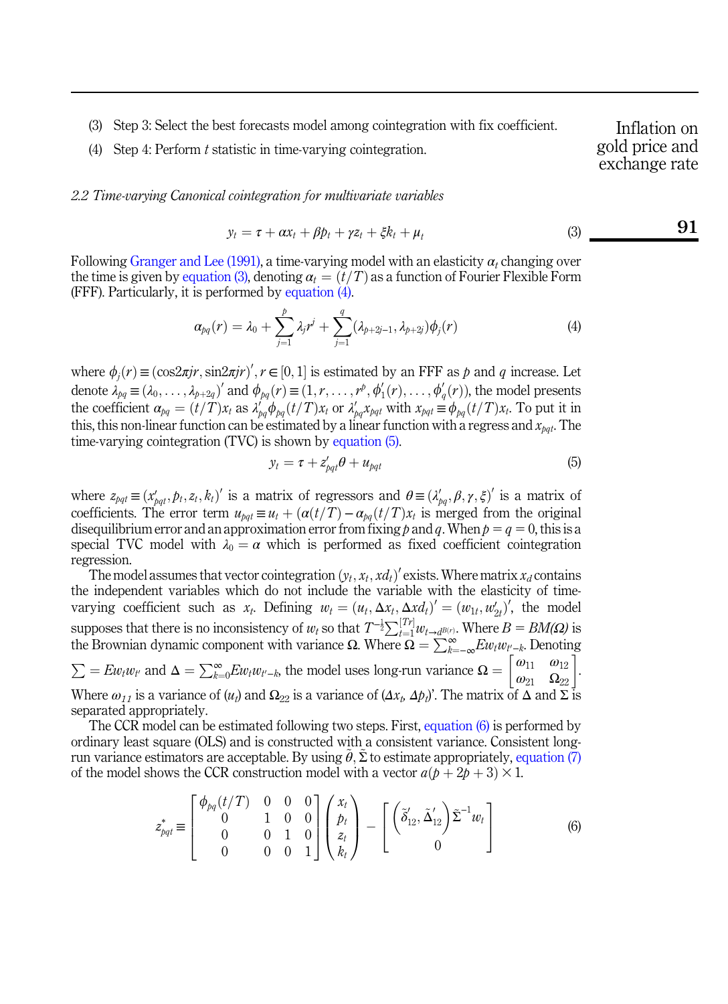- (3) Step 3: Select the best forecasts model among cointegration with fix coefficient.
- (4) Step 4: Perform t statistic in time-varying cointegration.

## <span id="page-3-0"></span>2.2 Time-varying Canonical cointegration for multivariate variables

$$
y_t = \tau + \alpha x_t + \beta p_t + \gamma z_t + \xi k_t + \mu_t \tag{3}
$$

<span id="page-3-1"></span>Following [Granger and Lee \(1991\)](#page-8-6), a time-varying model with an elasticity  $\alpha_t$  changing over the time is given by [equation \(3\),](#page-3-0) denoting  $\alpha_t = (t/T)$  as a function of Fourier Flexible Form (FFF). Particularly, it is performed by [equation \(4\)](#page-3-1).

$$
\alpha_{pq}(r) = \lambda_0 + \sum_{j=1}^p \lambda_j r^j + \sum_{j=1}^q (\lambda_{p+2j-1}, \lambda_{p+2j}) \phi_j(r) \tag{4}
$$

where  $\phi_j(r) \equiv (\cos 2\pi j r, \sin 2\pi j r)'$ ,  $r \in [0, 1]$  is estimated by an FFF as p and q increase. Let denote  $\lambda_{pq} \equiv (\lambda_0, \ldots, \lambda_{p+2q})'$  and  $\phi_{pq}(r) \equiv (1, r, \ldots, r^p, \phi'_1(r), \ldots, \phi'_q(r))$ , the model presents the coefficient  $\alpha_{pq} = (t/T)x_t$  as  $\lambda'_{pq}\phi_{pq}(t/T)x_t$  or  $\lambda'_{pq}x_{pqt}$  with  $x_{pqt} \equiv \phi_{pq}(t/T)x_t$ . To put it in this, this non-linear function can be estimated by a linear function with a regress and  $x_{bat}$ . The time-varying cointegration (TVC) is shown by [equation \(5\)](#page-3-2).

$$
y_t = \tau + z'_{pqt}\theta + u_{pqt} \tag{5}
$$

<span id="page-3-2"></span>where  $z_{pqt} \equiv (x'_{pqt}, p_t, z_t, k_t)'$  is a matrix of regressors and  $\theta \equiv (\lambda'_{pq}, \beta, \gamma, \xi)'$  is a matrix of coefficients. The error term  $u_{bat} \equiv u_t + (\alpha(t/T) - \alpha_{ba}(t/T)x_t$  is merged from the original disequilibrium error and an approximation error from fixing p and q. When  $p = q = 0$ , this is a special TVC model with  $\lambda_0 = \alpha$  which is performed as fixed coefficient cointegration regression.

The model assumes that vector cointegration  $(y_t, x_t, xd_t)'$  exists. Where matrix  $x_d$  contains the independent variables which do not include the variable with the elasticity of timevarying coefficient such as  $x_t$ . Defining  $w_t = (u_t, \Delta x_t, \Delta x_t)^{\prime} = (w_{1t}, w_{2t}^{\prime})^{\prime}$ , the model supposes that there is no inconsistency of  $w_t$  so that  $T^{-\frac{1}{2}}\sum_{t=1}^{[T_r]}w_{t\rightarrow d^{B(r)}}$ . Where  $B = BM(\Omega)$  is the Brownian dynamic component with variance  $\Omega$ . Where  $\Omega = \sum_{k=-\infty}^{\infty} E w_k w_{k'-k}$ . Denoting  $\sum = E w_t w_{t'}$  and  $\Delta = \sum_{k=0}^{\infty} E w_t w_{t'-k}$ , the model uses long-run variance  $\Omega = \begin{bmatrix} \omega_{11} & \omega_{12} \\ \omega_{21} & \Omega_{22} \end{bmatrix}$ . Where  $\omega_{11}$  is a variance of  $(u_t)$  and  $\Omega_{22}$  is a variance of  $(\Delta x_t, \Delta p_t)$ . The matrix of  $\Delta$  and  $\Sigma$  is separated appropriately.

<span id="page-3-3"></span>The CCR model can be estimated following two steps. First, [equation \(6\)](#page-3-3) is performed by ordinary least square (OLS) and is constructed with a consistent variance. Consistent longrun variance estimators are acceptable. By using  $\theta$ ,  $\Sigma$  to estimate appropriately, [equation \(7\)](#page-3-4) of the model shows the CCR construction model with a vector  $a(p+2p+3) \times 1$ .

 $22.22$ 

<span id="page-3-4"></span>
$$
z_{pat}^{*} \equiv \begin{bmatrix} \phi_{pq}(t/T) & 0 & 0 & 0 \\ 0 & 1 & 0 & 0 \\ 0 & 0 & 1 & 0 \\ 0 & 0 & 0 & 1 \end{bmatrix} \begin{pmatrix} x_t \\ p_t \\ z_t \\ k_t \end{pmatrix} - \begin{bmatrix} (\tilde{\delta}_{12}', \tilde{\Delta}_{12}') \tilde{\Sigma}^{-1} w_t \\ 0 \end{bmatrix}
$$
 (6)

Inflation on gold price and exchange rate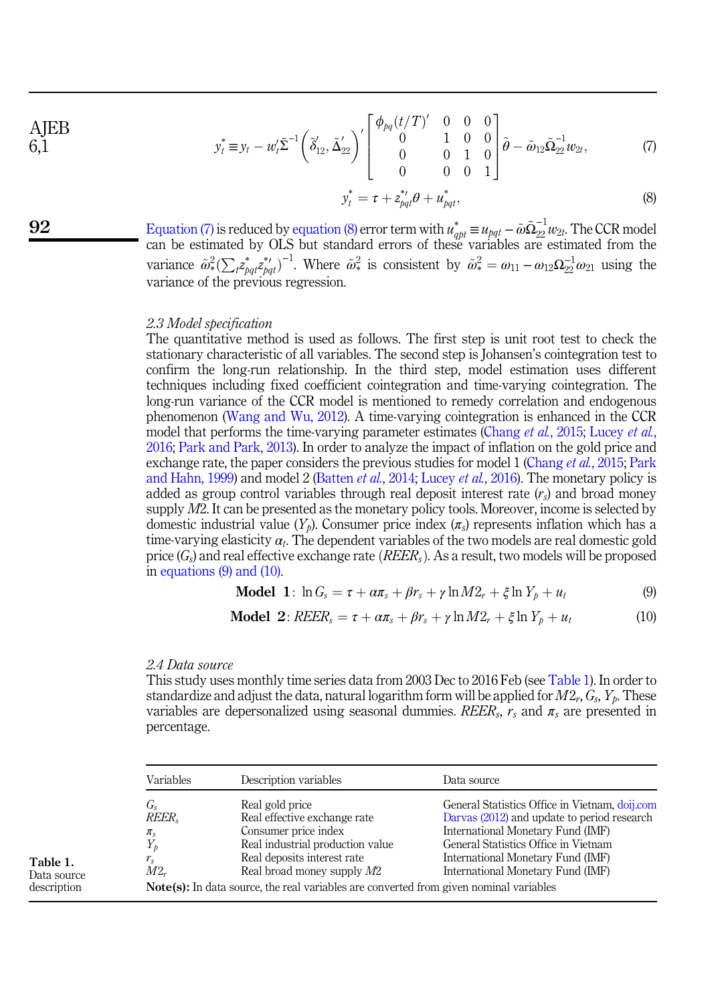AJEB 6,1

92

$$
y_t^* \equiv y_t - w_t' \tilde{\Sigma}^{-1} \begin{pmatrix} \tilde{\delta}_{12}, \tilde{\Delta}_{22}' \end{pmatrix}' \begin{bmatrix} \phi_{pq}(t/T)' & 0 & 0 & 0 \\ 0 & 1 & 0 & 0 \\ 0 & 0 & 1 & 0 \\ 0 & 0 & 0 & 1 \end{bmatrix} \tilde{\theta} - \tilde{\omega}_{12} \tilde{\Omega}_{22}^{-1} w_{2t}, \tag{7}
$$

$$
y_t^* = \tau + z_{pqt}^* \theta + u_{pqt}^*,\tag{8}
$$

<span id="page-4-0"></span>[Equation \(7\)](#page-3-4) is reduced by [equation \(8\)](#page-4-0) error term with  $u_{qpt}^* \equiv u_{pqt} - \tilde{\omega} \tilde{\Omega}_{22}^{-1} w_{2t}$ . The CCR model can be estimated by OLS but standard errors of these variables are estimated from the variance  $\tilde{\omega}_{*}^{2}(\sum_{i}z_{pqt}^{*}z_{pqt}^{*})^{-1}$ . Where  $\tilde{\omega}_{*}^{2}$  is consistent by  $\tilde{\omega}_{*}^{2} = \omega_{11} - \omega_{12}\Omega_{22}^{-1}\omega_{21}$  using the variance of the previous regression.

#### 2.3 Model specification

The quantitative method is used as follows. The first step is unit root test to check the stationary characteristic of all variables. The second step is Johansen's cointegration test to confirm the long-run relationship. In the third step, model estimation uses different techniques including fixed coefficient cointegration and time-varying cointegration. The long-run variance of the CCR model is mentioned to remedy correlation and endogenous phenomenon [\(Wang and Wu, 2012](#page-8-12)). A time-varying cointegration is enhanced in the CCR model that performs the time-varying parameter estimates [\(Chang](#page-7-1) et al., 2015; [Lucey](#page-8-5) et al., [2016;](#page-8-5) [Park and Park, 2013\)](#page-8-2). In order to analyze the impact of inflation on the gold price and exchange rate, the paper considers the previous studies for model 1 [\(Chang](#page-7-1) et al., 2015; [Park](#page-8-7) [and Hahn, 1999\)](#page-8-7) and model 2 ([Batten](#page-7-3) *et al.*, 2014; [Lucey](#page-8-5) *et al.*, 2016). The monetary policy is added as group control variables through real deposit interest rate  $(r<sub>s</sub>)$  and broad money supply  $M2$ . It can be presented as the monetary policy tools. Moreover, income is selected by domestic industrial value  $(Y_p)$ . Consumer price index  $(\pi_s)$  represents inflation which has a time-varying elasticity  $\alpha_t$ . The dependent variables of the two models are real domestic gold price  $(G_s)$  and real effective exchange rate  $(REER_s)$ . As a result, two models will be proposed in [equations \(9\) and \(10\)](#page-4-1).

<span id="page-4-1"></span>
$$
\text{Model 1: } \ln G_s = \tau + \alpha \pi_s + \beta r_s + \gamma \ln M2_r + \xi \ln Y_p + u_t \tag{9}
$$

$$
\text{Model 2: } \text{REER}_s = \tau + \alpha \pi_s + \beta r_s + \gamma \ln M2_r + \xi \ln Y_p + u_t \tag{10}
$$

#### 2.4 Data source

This study uses monthly time series data from 2003 Dec to 2016 Feb (see Table 1). In order to standardize and adjust the data, natural logarithm form will be applied for  $M2_r$ ,  $G_s$ ,  $Y_p$ . These variables are depersonalized using seasonal dummies.  $REER<sub>s</sub>$ ,  $r<sub>s</sub>$  and  $\pi<sub>s</sub>$  are presented in percentage.

| Variables                                                                                     | Description variables                                                                                                                      | Data source                                                                                                                                                                                                     |  |  |
|-----------------------------------------------------------------------------------------------|--------------------------------------------------------------------------------------------------------------------------------------------|-----------------------------------------------------------------------------------------------------------------------------------------------------------------------------------------------------------------|--|--|
| $G_{\rm s}$<br>REER <sub>s</sub><br>$\pi_{\rm s}$<br>$Y_p$<br>$r_{s}$                         | Real gold price<br>Real effective exchange rate<br>Consumer price index<br>Real industrial production value<br>Real deposits interest rate | General Statistics Office in Vietnam, doij.com<br>Darvas (2012) and update to period research<br>International Monetary Fund (IMF)<br>General Statistics Office in Vietnam<br>International Monetary Fund (IMF) |  |  |
| $M2_r$                                                                                        | Real broad money supply M2                                                                                                                 | International Monetary Fund (IMF)                                                                                                                                                                               |  |  |
| <b>Note(s):</b> In data source, the real variables are converted from given nominal variables |                                                                                                                                            |                                                                                                                                                                                                                 |  |  |

Table 1. Data source description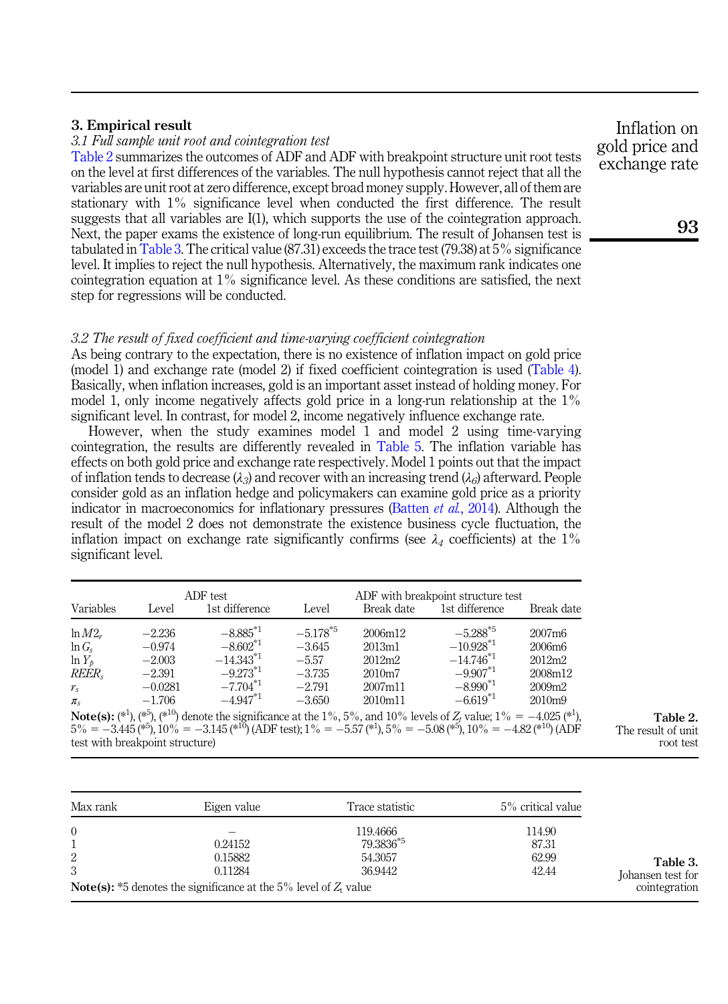## <span id="page-5-0"></span>3. Empirical result

## 3.1 Full sample unit root and cointegration test

Table 2 summarizes the outcomes of ADF and ADF with breakpoint structure unit root tests on the level at first differences of the variables. The null hypothesis cannot reject that all the variables are unit root at zero difference, except broad money supply. However, all of them are stationary with 1% significance level when conducted the first difference. The result suggests that all variables are I(1), which supports the use of the cointegration approach. Next, the paper exams the existence of long-run equilibrium. The result of Johansen test is tabulated in Table 3. The critical value (87.31) exceeds the trace test (79.38) at 5% significance level. It implies to reject the null hypothesis. Alternatively, the maximum rank indicates one cointegration equation at  $1\%$  significance level. As these conditions are satisfied, the next step for regressions will be conducted.

## 3.2 The result of fixed coefficient and time-varying coefficient cointegration

As being contrary to the expectation, there is no existence of inflation impact on gold price (model 1) and exchange rate (model 2) if fixed coefficient cointegration is used [\(Table 4\)](#page-6-0). Basically, when inflation increases, gold is an important asset instead of holding money. For model 1, only income negatively affects gold price in a long-run relationship at the 1% significant level. In contrast, for model 2, income negatively influence exchange rate.

However, when the study examines model 1 and model 2 using time-varying cointegration, the results are differently revealed in [Table 5.](#page-6-0) The inflation variable has effects on both gold price and exchange rate respectively. Model 1 points out that the impact of inflation tends to decrease ( $\lambda_3$ ) and recover with an increasing trend ( $\lambda_6$ ) afterward. People consider gold as an inflation hedge and policymakers can examine gold price as a priority indicator in macroeconomics for inflationary pressures ([Batten](#page-7-3) et al., 2014). Although the result of the model 2 does not demonstrate the existence business cycle fluctuation, the inflation impact on exchange rate significantly confirms (see  $\lambda_4$  coefficients) at the 1% significant level.

| Variables                                                                                                                 | Level     | ADF test<br>1st difference | Level         | Break date         | ADF with breakpoint structure test<br>1st difference                                                                     | Break date         |
|---------------------------------------------------------------------------------------------------------------------------|-----------|----------------------------|---------------|--------------------|--------------------------------------------------------------------------------------------------------------------------|--------------------|
| $\ln M2_r$                                                                                                                | $-2.236$  | $-8.885^{*1}$              | $-5.178^{*5}$ | 2006m12            | $-5.288^{*5}$                                                                                                            | 2007m6             |
| $\ln G_s$                                                                                                                 | $-0.974$  | $-8.602^{*1}$              | $-3.645$      | 2013m1             | $-10.928^{*1}$                                                                                                           | 2006m6             |
| $ln Y_b$                                                                                                                  | $-2.003$  | $-14.343^{*1}$             | $-5.57$       | 2012m2             | $-14.746^{*1}$                                                                                                           | 2012m2             |
| REER <sub>s</sub>                                                                                                         | $-2.391$  | $-9.273^{*1}$              | $-3.735$      | 2010 <sub>m7</sub> | $-9.907^{*1}$                                                                                                            | 2008m12            |
| $r_{\rm c}$                                                                                                               | $-0.0281$ | $-7.704^{*1}$              | $-2.791$      | 2007m11            | $-8.990^{*1}$                                                                                                            | 2009m2             |
| $\pi$ .                                                                                                                   | $-1.706$  | $-4.947^{\ast}1$           | $-3.650$      | 2010m11            | $-6.619^{*1}$                                                                                                            | 2010 <sub>m9</sub> |
| <b>Note(s):</b> (*1), (*5), (*10) denote the significance at the 1%, 5%, and 10% levels of $Z_t$ value; 1% = -4.025 (*1), |           |                            |               |                    |                                                                                                                          |                    |
|                                                                                                                           |           |                            |               |                    | $5\% = -3.445$ (*5), $10\% = -3.145$ (*10) (ADF test); $1\% = -5.57$ (*1), $5\% = -5.08$ (*5), $10\% = -4.82$ (*10) (ADF |                    |
| test with breakpoint structure)                                                                                           |           |                            |               |                    |                                                                                                                          |                    |

3 0.11284 36.9442 42.44

Note(s):  $*5$  denotes the significance at the 5% level of  $Z_t$  value

| Max rank | Eigen value | Trace statistic | 5% critical value |
|----------|-------------|-----------------|-------------------|
| 0        |             | 119.4666        | 114.90            |
|          | 0.24152     | 79.3836*5       | 87.31             |
| 2        | 0.15882     | 54.3057         | 62.99             |

Inflation on gold price and exchange rate

Table 3. Johansen test for cointegration

Table 2. The result of unit root test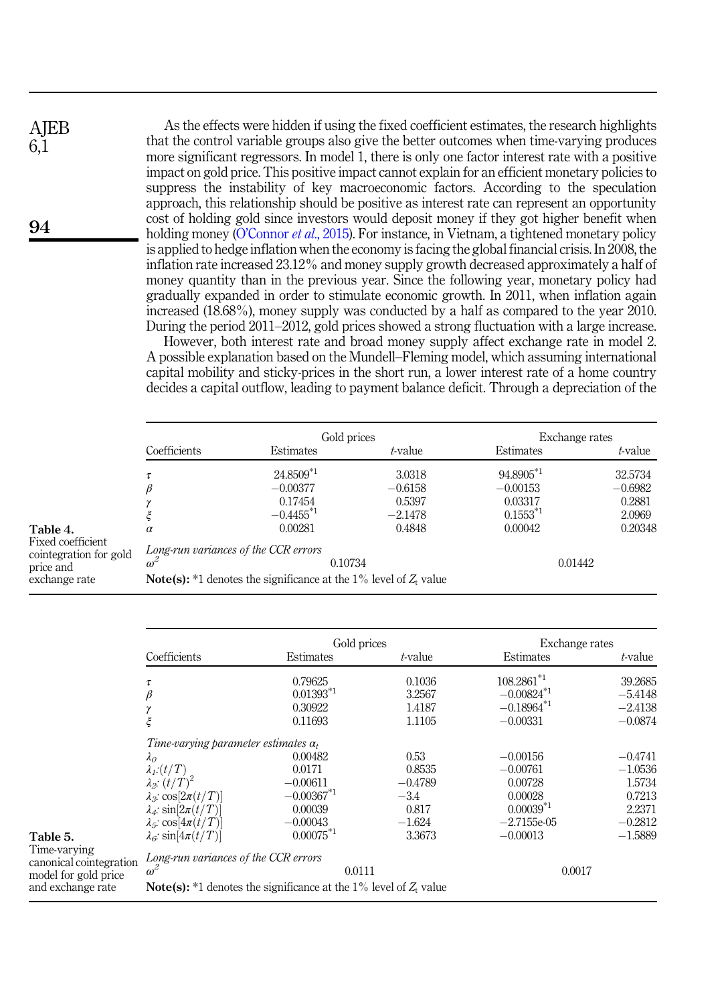As the effects were hidden if using the fixed coefficient estimates, the research highlights that the control variable groups also give the better outcomes when time-varying produces more significant regressors. In model 1, there is only one factor interest rate with a positive impact on gold price. This positive impact cannot explain for an efficient monetary policies to suppress the instability of key macroeconomic factors. According to the speculation approach, this relationship should be positive as interest rate can represent an opportunity cost of holding gold since investors would deposit money if they got higher benefit when holding money (O'[Connor](#page-8-13) et al., 2015). For instance, in Vietnam, a tightened monetary policy is applied to hedge inflation when the economy is facing the global financial crisis. In 2008, the inflation rate increased 23.12% and money supply growth decreased approximately a half of money quantity than in the previous year. Since the following year, monetary policy had gradually expanded in order to stimulate economic growth. In 2011, when inflation again increased (18.68%), money supply was conducted by a half as compared to the year 2010. During the period 2011–2012, gold prices showed a strong fluctuation with a large increase.

However, both interest rate and broad money supply affect exchange rate in model 2. A possible explanation based on the Mundell–Fleming model, which assuming international capital mobility and sticky-prices in the short run, a lower interest rate of a home country decides a capital outflow, leading to payment balance deficit. Through a depreciation of the

|                                                                      |                        | Gold prices                                                                                                           |                                                      | Exchange rates                                                            |                                                     |
|----------------------------------------------------------------------|------------------------|-----------------------------------------------------------------------------------------------------------------------|------------------------------------------------------|---------------------------------------------------------------------------|-----------------------------------------------------|
|                                                                      | Coefficients           | Estimates                                                                                                             | t-value                                              | Estimates                                                                 | t-value                                             |
| Table 4.<br>Fixed coefficient<br>cointegration for gold<br>price and | $\alpha$<br>$\omega^2$ | 24.8509 $*1$<br>$-0.00377$<br>0.17454<br>$-0.4455^{*1}$<br>0.00281<br>Long-run variances of the CCR errors<br>0.10734 | 3.0318<br>$-0.6158$<br>0.5397<br>$-2.1478$<br>0.4848 | 94.8905*1<br>$-0.00153$<br>0.03317<br>$0.1553^{*1}$<br>0.00042<br>0.01442 | 32.5734<br>$-0.6982$<br>0.2881<br>2.0969<br>0.20348 |
| exchange rate                                                        |                        | <b>Note(s):</b> *1 denotes the significance at the $1\%$ level of $Z_t$ value                                         |                                                      |                                                                           |                                                     |

|                                         |                                                                               | Gold prices     |           | Exchange rates  |           |  |
|-----------------------------------------|-------------------------------------------------------------------------------|-----------------|-----------|-----------------|-----------|--|
|                                         | Coefficients                                                                  | Estimates       | t-value   | Estimates       | t-value   |  |
|                                         | τ                                                                             | 0.79625         | 0.1036    | $108.2861^{*1}$ | 39.2685   |  |
|                                         | $\beta$                                                                       | $0.01393^{*1}$  | 3.2567    | $-0.00824^{*1}$ | $-5.4148$ |  |
|                                         |                                                                               | 0.30922         | 1.4187    | $-0.18964^{*1}$ | $-2.4138$ |  |
|                                         | ξ                                                                             | 0.11693         | 1.1105    | $-0.00331$      | $-0.0874$ |  |
|                                         | Time-varying parameter estimates $\alpha_t$                                   |                 |           |                 |           |  |
|                                         | $\lambda_{O}$                                                                 | 0.00482         | 0.53      | $-0.00156$      | $-0.4741$ |  |
|                                         | $\lambda_I:(t/T)$                                                             | 0.0171          | 0.8535    | $-0.00761$      | $-1.0536$ |  |
|                                         | $\lambda_2$ : $(t/T)^2$                                                       | $-0.00611$      | $-0.4789$ | 0.00728         | 1.5734    |  |
|                                         | $\lambda_3$ : $\cos[2\pi(t/T)]$                                               | $-0.00367^{*1}$ | $-3.4$    | 0.00028         | 0.7213    |  |
|                                         | $\lambda_4$ : $\sin[2\pi(t/T)]$                                               | 0.00039         | 0.817     | $0.00039^{*1}$  | 2.2371    |  |
|                                         | $\lambda_5$ : $\cos[4\pi(t/T)]$                                               | $-0.00043$      | $-1.624$  | $-2.7155e-05$   | $-0.2812$ |  |
| Table 5.                                | $\lambda_G \sin[4\pi(t/T)]$                                                   | $0.00075^{*1}$  | 3.3673    | $-0.00013$      | $-1.5889$ |  |
| Time-varying<br>canonical cointegration | Long-run variances of the CCR errors                                          |                 |           |                 |           |  |
| model for gold price                    | $\omega^2$                                                                    | 0.0111          |           | 0.0017          |           |  |
| and exchange rate                       | <b>Note(s):</b> *1 denotes the significance at the $1\%$ level of $Z_t$ value |                 |           |                 |           |  |

94

<span id="page-6-0"></span>**AIEB** 6,1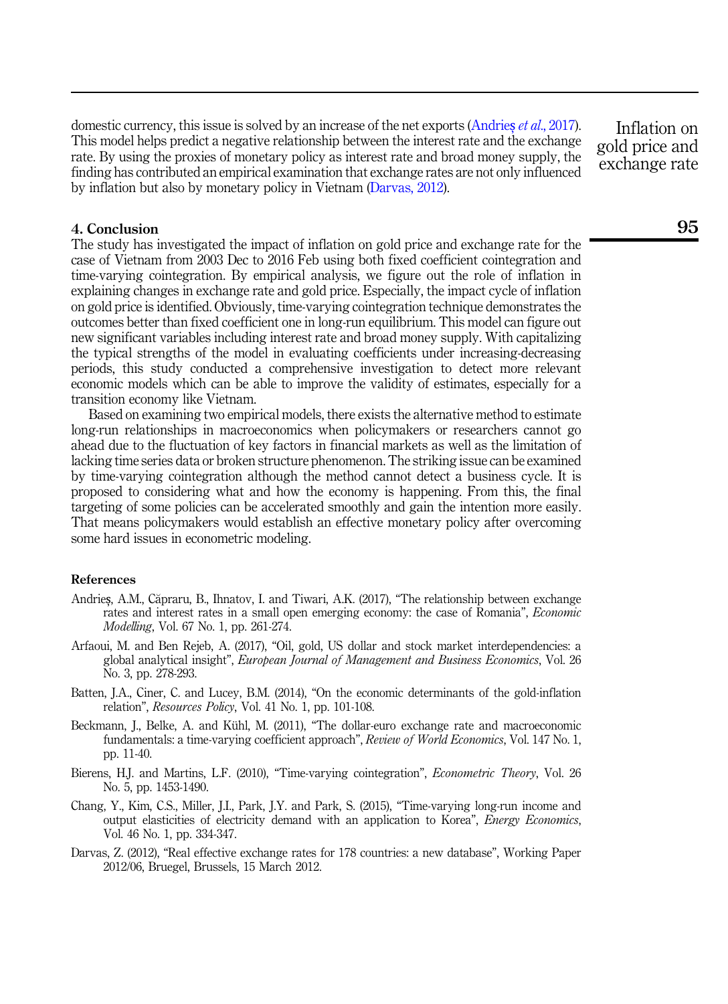domestic currency, this issue is solved by an increase of the net exports [\(Andrie](#page-7-6)s *et al.*, 2017). This model helps predict a negative relationship between the interest rate and the exchange rate. By using the proxies of monetary policy as interest rate and broad money supply, the finding has contributed an empirical examination that exchange rates are not only influenced by inflation but also by monetary policy in Vietnam ([Darvas, 2012\)](#page-7-5).

# Inflation on gold price and exchange rate

## 4. Conclusion

The study has investigated the impact of inflation on gold price and exchange rate for the case of Vietnam from 2003 Dec to 2016 Feb using both fixed coefficient cointegration and time-varying cointegration. By empirical analysis, we figure out the role of inflation in explaining changes in exchange rate and gold price. Especially, the impact cycle of inflation on gold price is identified. Obviously, time-varying cointegration technique demonstrates the outcomes better than fixed coefficient one in long-run equilibrium. This model can figure out new significant variables including interest rate and broad money supply. With capitalizing the typical strengths of the model in evaluating coefficients under increasing-decreasing periods, this study conducted a comprehensive investigation to detect more relevant economic models which can be able to improve the validity of estimates, especially for a transition economy like Vietnam.

Based on examining two empirical models, there exists the alternative method to estimate long-run relationships in macroeconomics when policymakers or researchers cannot go ahead due to the fluctuation of key factors in financial markets as well as the limitation of lacking time series data or broken structure phenomenon. The striking issue can be examined by time-varying cointegration although the method cannot detect a business cycle. It is proposed to considering what and how the economy is happening. From this, the final targeting of some policies can be accelerated smoothly and gain the intention more easily. That means policymakers would establish an effective monetary policy after overcoming some hard issues in econometric modeling.

#### References

- <span id="page-7-6"></span>Andrieș, A.M., Căpraru, B., Ihnatov, I. and Tiwari, A.K. (2017), "The relationship between exchange rates and interest rates in a small open emerging economy: the case of Romania", Economic Modelling, Vol. 67 No. 1, pp. 261-274.
- <span id="page-7-4"></span>Arfaoui, M. and Ben Rejeb, A. (2017), "Oil, gold, US dollar and stock market interdependencies: a global analytical insight", European Journal of Management and Business Economics, Vol. 26 No. 3, pp. 278-293.
- <span id="page-7-3"></span>Batten, J.A., Ciner, C. and Lucey, B.M. (2014), "On the economic determinants of the gold-inflation relation", Resources Policy, Vol. 41 No. 1, pp. 101-108.
- <span id="page-7-2"></span>Beckmann, J., Belke, A. and Kühl, M. (2011), "The dollar-euro exchange rate and macroeconomic fundamentals: a time-varying coefficient approach", Review of World Economics, Vol. 147 No. 1, pp. 11-40.
- <span id="page-7-0"></span>Bierens, H.J. and Martins, L.F. (2010), "Time-varying cointegration", Econometric Theory, Vol. 26 No. 5, pp. 1453-1490.
- <span id="page-7-1"></span>Chang, Y., Kim, C.S., Miller, J.I., Park, J.Y. and Park, S. (2015), "Time-varying long-run income and output elasticities of electricity demand with an application to Korea", Energy Economics, Vol. 46 No. 1, pp. 334-347.
- <span id="page-7-5"></span>Darvas, Z. (2012), "Real effective exchange rates for 178 countries: a new database", Working Paper 2012/06, Bruegel, Brussels, 15 March 2012.

95